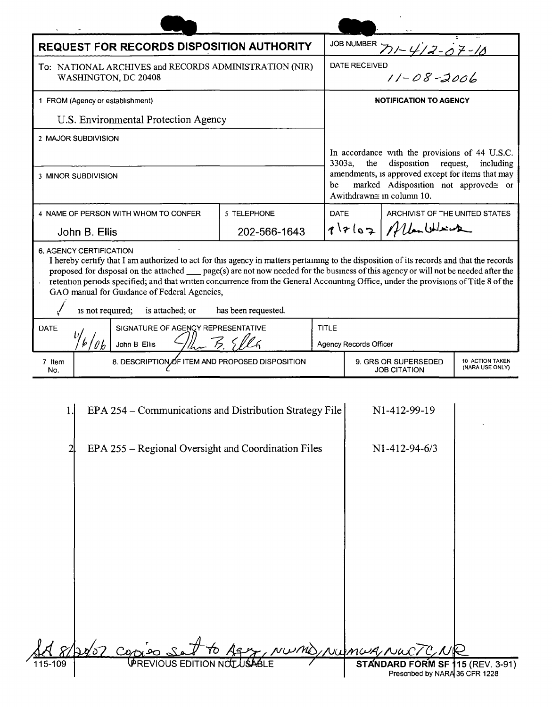|                                                                                | REQUEST FOR RECORDS DISPOSITION AUTHORITY                                                                                                                                                                                                                                                                                                                                                                                                                                                                     |                     |              |                                                                                                                              | JOB NUMBER $71 - 417 - 07 - 10$  |  |  |  |
|--------------------------------------------------------------------------------|---------------------------------------------------------------------------------------------------------------------------------------------------------------------------------------------------------------------------------------------------------------------------------------------------------------------------------------------------------------------------------------------------------------------------------------------------------------------------------------------------------------|---------------------|--------------|------------------------------------------------------------------------------------------------------------------------------|----------------------------------|--|--|--|
| To: NATIONAL ARCHIVES and RECORDS ADMINISTRATION (NIR)<br>WASHINGTON, DC 20408 |                                                                                                                                                                                                                                                                                                                                                                                                                                                                                                               |                     |              | DATE RECEIVED<br>$11 - 08 - 2006$                                                                                            |                                  |  |  |  |
| 1 FROM (Agency or establishment)                                               |                                                                                                                                                                                                                                                                                                                                                                                                                                                                                                               |                     |              | <b>NOTIFICATION TO AGENCY</b>                                                                                                |                                  |  |  |  |
| U.S. Environmental Protection Agency                                           |                                                                                                                                                                                                                                                                                                                                                                                                                                                                                                               |                     |              |                                                                                                                              |                                  |  |  |  |
| 2 MAJOR SUBDIVISION                                                            |                                                                                                                                                                                                                                                                                                                                                                                                                                                                                                               |                     |              |                                                                                                                              |                                  |  |  |  |
|                                                                                |                                                                                                                                                                                                                                                                                                                                                                                                                                                                                                               |                     |              | In accordance with the provisions of 44 U.S.C.<br>3303a,<br>the<br>disposition request,<br>including                         |                                  |  |  |  |
| 3 MINOR SUBDIVISION                                                            |                                                                                                                                                                                                                                                                                                                                                                                                                                                                                                               |                     |              | amendments, is approved except for items that may<br>marked Adisposition not approved≅ or<br>be<br>Awithdrawn≅ in column 10. |                                  |  |  |  |
|                                                                                | 4 NAME OF PERSON WITH WHOM TO CONFER                                                                                                                                                                                                                                                                                                                                                                                                                                                                          | 5 TELEPHONE         |              | ARCHIVIST OF THE UNITED STATES<br><b>DATE</b>                                                                                |                                  |  |  |  |
|                                                                                | John B. Ellis                                                                                                                                                                                                                                                                                                                                                                                                                                                                                                 | 202-566-1643        |              | $717107$ / Man Which                                                                                                         |                                  |  |  |  |
| ä,                                                                             | I hereby certify that I am authorized to act for this agency in matters pertaining to the disposition of its records and that the records<br>proposed for disposal on the attached ___ page(s) are not now needed for the business of this agency or will not be needed after the<br>retention periods specified; and that written concurrence from the General Accounting Office, under the provisions of Title 8 of the<br>GAO manual for Guidance of Federal Agencies,<br>is not required; is attached; or | has been requested. |              |                                                                                                                              |                                  |  |  |  |
| <b>DATE</b><br>SIGNATURE OF AGENCY REPRESENTATIVE                              |                                                                                                                                                                                                                                                                                                                                                                                                                                                                                                               |                     | <b>TITLE</b> |                                                                                                                              |                                  |  |  |  |
| John B Ellis                                                                   |                                                                                                                                                                                                                                                                                                                                                                                                                                                                                                               |                     |              | Agency Records Officer                                                                                                       |                                  |  |  |  |
| 7 Item<br>No.                                                                  | 8. DESCRIPTION OF ITEM AND PROPOSED DISPOSITION                                                                                                                                                                                                                                                                                                                                                                                                                                                               |                     |              | 10 ACTION TAKEN<br>9. GRS OR SUPERSEDED<br>(NARA USE ONLY)<br><b>JOB CITATION</b>                                            |                                  |  |  |  |
| 1.                                                                             | EPA 254 – Communications and Distribution Strategy File<br>EPA 255 – Regional Oversight and Coordination Files                                                                                                                                                                                                                                                                                                                                                                                                |                     |              | N1-412-99-19<br>$N1-412-94-6/3$                                                                                              |                                  |  |  |  |
| 115-109                                                                        | PREVIOUS EDITION NOT                                                                                                                                                                                                                                                                                                                                                                                                                                                                                          |                     |              | NUMUA Nu                                                                                                                     | STANDARD FORM SF 115 (REV. 3-91) |  |  |  |

 $\ensuremath{\text{NWML}}$ 

 $\sim$   $\epsilon$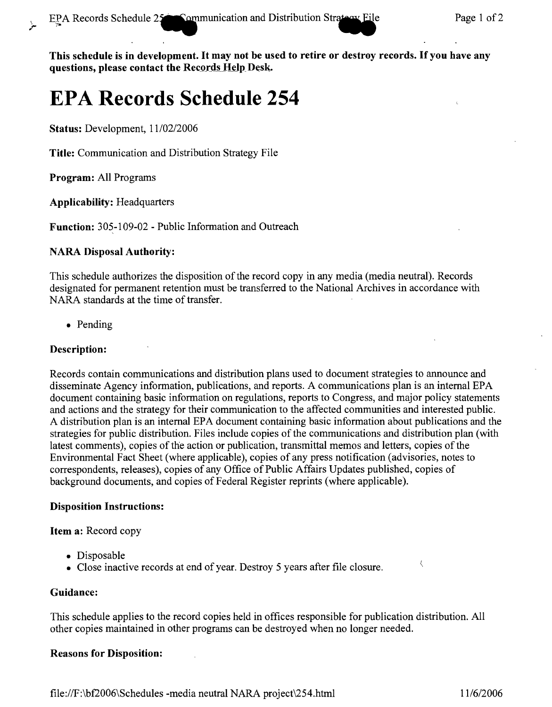This schedule is in development. It may not be used to retire or destroy records. If you have any questions, please contact the Records Help Desk.

# **EPA Records Schedule 254**

Status: Development,  $11/02/2006$ 

Title: Communication and Distribution Strategy File

Program: All Programs

 $\overline{a}$ 

Applicability: Headquarters

Function: 305-109-02 - Public Information and Outreach

### NARA Disposal Authority:

This schedule authorizes the disposition of the record copy in any media (media neutral). Records designated for permanent retention must be transferred to the National Archives in accordance with NARA standards at the time of transfer.

• Pending

## Description:

Records contain communications and distribution plans used to document strategies to announce and disseminate Agency information, publications, and reports. A communications plan is an internal EPA document containing basic information on regulations, reports to Congress, and major policy statements and actions and the strategy for their communication to the affected communities and interested public. A distribution plan is an internal EPA document containing basic information about publications and the strategies for public distribution. Files include copies of the communications and distribution plan (with latest comments), copies of the action or publication, transmittal memos and letters, copies of the Environmental Fact Sheet (where applicable), copies of any press notification (advisories, notes to correspondents, releases), copies of any Office of Public Affairs Updates published, copies of background documents, and copies of Federal Register reprints (where applicable).

### Disposition Instructions:

Item a: Record copy

- Disposable
- Close inactive records at end of year. Destroy 5 years after file closure.

### Guidance:

This schedule applies to the record copies held in offices responsible for publication distribution. All other copies maintained in other programs can be destroyed when no longer needed.

### Reasons for Disposition:

 $\overline{\mathcal{L}}$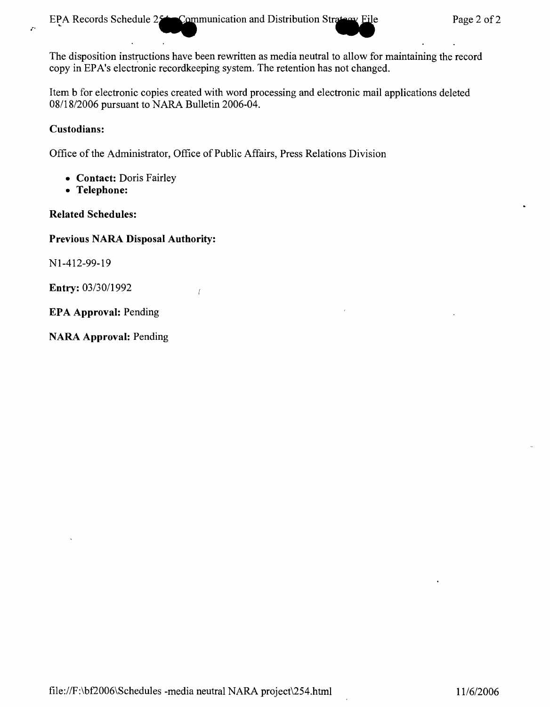EPA Records Schedule  $25$  Communication and Distribution Strategy File Page 2 of 2

The disposition instructions have been rewritten as media neutral to allow for maintaining the record copy in EPA's electronic recordkeeping system. The retention has not changed.

Item b for electronic copies created with word processing and electronic mail applications deleted *08/18/2006* pursuant to NARA Bulletin 2006-04.

## **Custodians:**

 $\mathcal{L}^{\mathcal{A}}$ 

Office of the Administrator, Office of Public Affairs, Press Relations Division

 $\overline{1}$ 

- **Contact:** Doris Fairley
- **Telephone:**

# **Related Schedules:**

# **Previous NARA Disposal Authority:**

Nl-412-99-19

**Entry:** *03/3011992*

**EPA Approval:** Pending

**NARA Approval:** Pending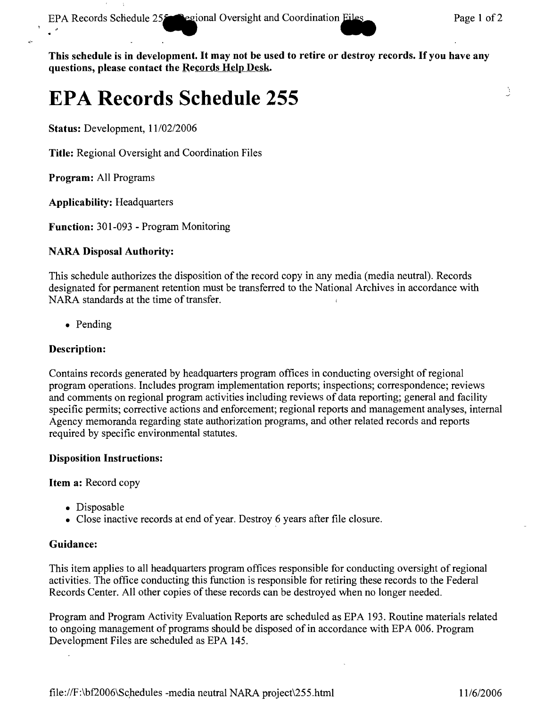EPA Records Schedule 25<sup>on</sup> egional Oversight and Coordination. Files Page 1 of 2

Ą

This schedule is in development. It may not be used to retire or destroy records. If you have any questions, please contact the Records Help Desk.

# **EPA Records Schedule 255**

Status: Development, *11102/2006*

Title: Regional Oversight and Coordination Files

Program: All Programs

Applicability: Headquarters

Function: 301-093 - Program Monitoring

# NARA Disposal Authority:

This schedule authorizes the disposition of the record copy in any media (media neutral). Records designated for permanent retention must be transferred to the National Archives in accordance with NARA standards at the time of transfer.

• Pending

# Description:

Contains records generated by headquarters program offices in conducting oversight of regional program operations. Includes program implementation reports; inspections; correspondence; reviews and comments on regional program activities including reviews of data reporting; general and facility specific permits; corrective actions and enforcement; regional reports and management analyses, internal Agency memoranda regarding state authorization programs, and other related records and reports required by specific environmental statutes.

## Disposition Instructions:

Item a: Record copy

- Disposable
- Close inactive records at end of year. Destroy 6 years after file closure.

# Guidance:

This item applies to all headquarters program offices responsible for conducting oversight of regional activities. The office conducting this function is responsible for retiring these records to the Federal Records Center. All other copies of these records can be destroyed when no longer needed.

Program and Program Activity Evaluation Reports are scheduled as EPA 193. Routine materials related to ongoing management of programs should be disposed of in accordance with EPA 006. Program Development Files are scheduled as EPA 145.